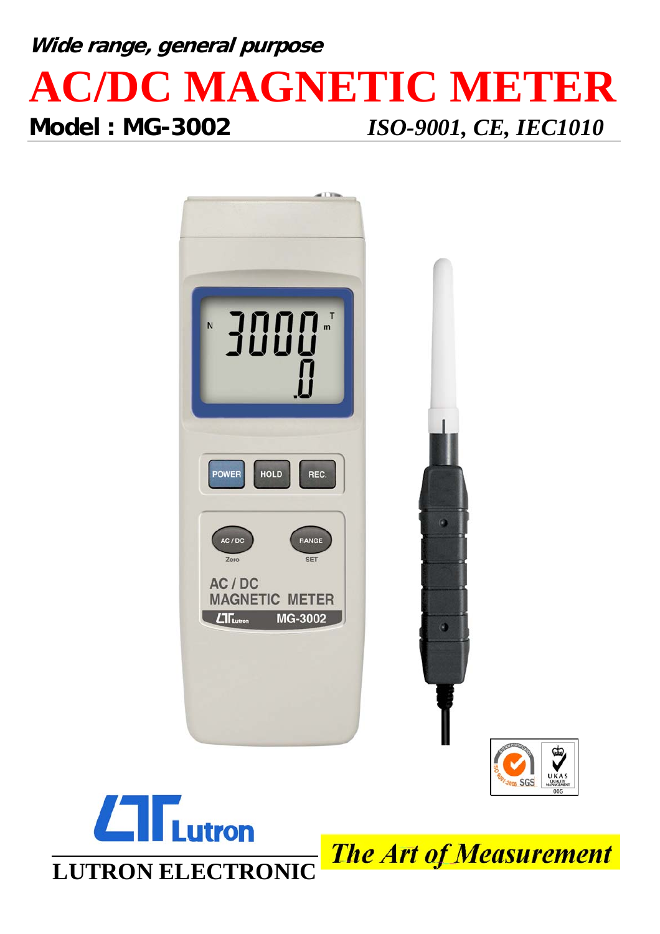## **Wide range, general purpose AC/DC MAGNETIC METER Model : MG-3002** *ISO-9001, CE, IEC1010*





**The Art of Measurement**